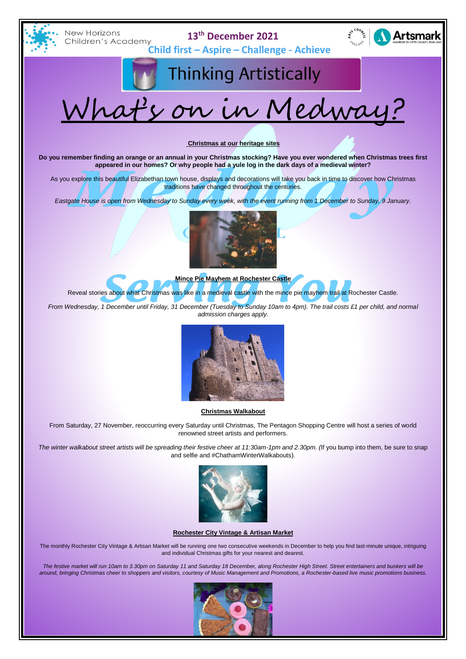